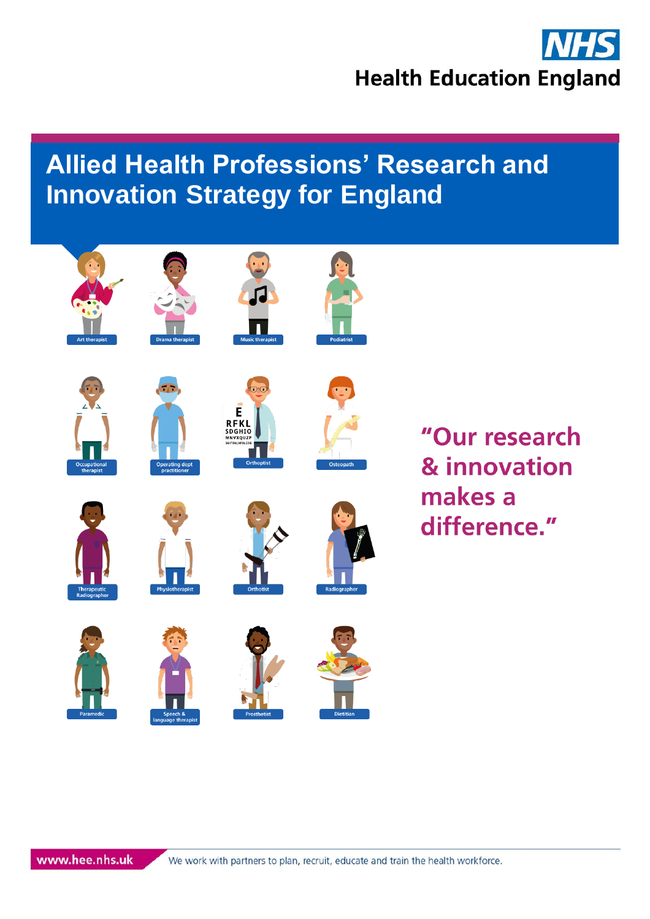













"Our research & innovation makes a difference."



















www.hee.nhs.uk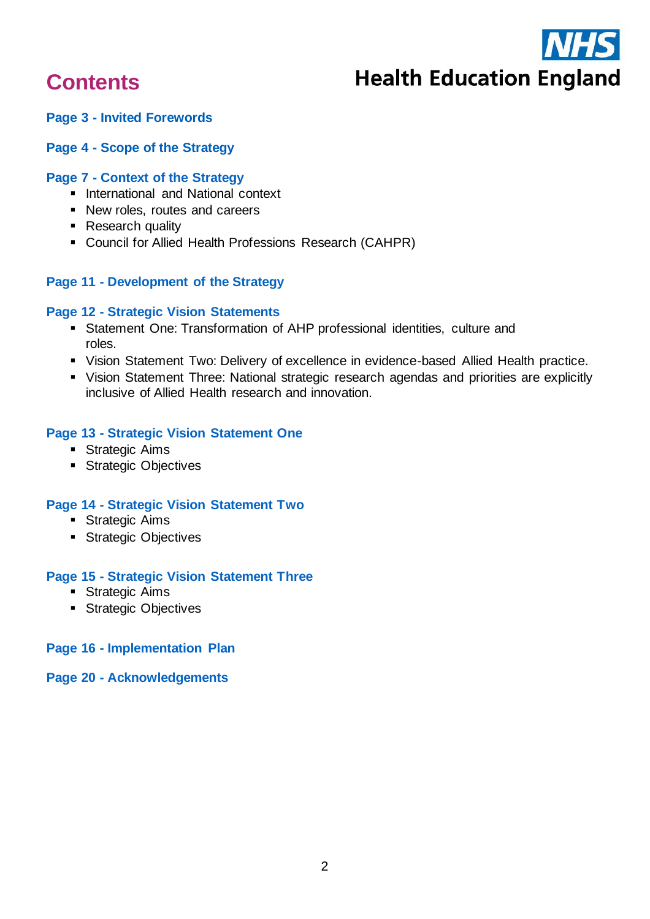

# **Contents**

#### **Page 3 - [Invited Forewords](#page-2-0)**

#### **Page 4 - [Scope of the Strategy](#page-3-0)**

#### **Page 7 - [Context of the Strategy](#page-6-0)**

- International and National context
- New roles, routes and careers
- Research quality
- Council for Allied Health Professions Research (CAHPR)

#### **Page 11 - [Development of the Strategy](#page-10-0)**

#### **Page 12 - [Strategic Vision Statements](#page-11-0)**

- **EXECTE Statement One: Transformation of AHP professional identities, culture and** [roles.](#page-12-0)
- [Vision Statement Two: Delivery of excellence in evidence-based Allied Health practice.](#page-13-0)
- [Vision Statement Three: National strategic research agendas and priorities are explicitly](#page-14-0)  [inclusive of Allied Health research and innovation.](#page-14-0)

#### **Page 13 - [Strategic Vision Statement One](#page-12-0)**

- **Exercise Strategic Aims**
- **EXECUTE:** Strategic Objectives

#### **Page 14 - [Strategic Vision Statement Two](#page-13-0)**

- **Exercise Strategic Aims**
- Strategic Objectives

#### **Page 15 - [Strategic Vision Statement Three](#page-14-0)**

- Strategic Aims
- **EXECUTE: Strategic Objectives**

#### **Page 16 - [Implementation Plan](#page-15-0)**

#### **Page 20 - [Acknowledgements](#page-19-0)**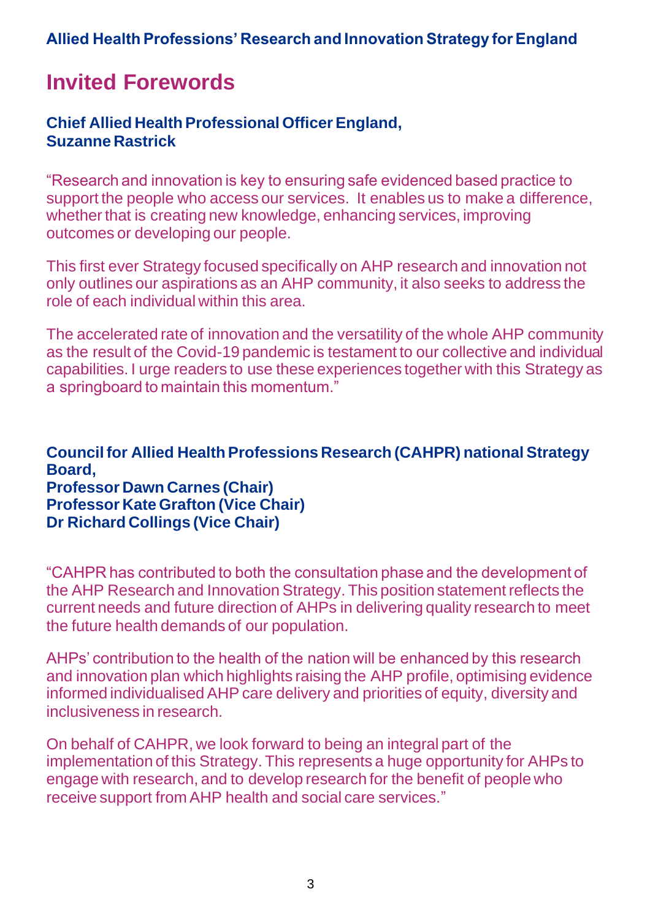# <span id="page-2-0"></span>**Invited Forewords**

## **Chief Allied Health Professional Officer England, Suzanne Rastrick**

"Research and innovation is key to ensuring safe evidenced based practice to support the people who access our services. It enables us to make a difference, whether that is creating new knowledge, enhancing services, improving outcomes or developing our people.

This first ever Strategy focused specifically on AHP research and innovation not only outlines our aspirations as an AHP community, it also seeks to address the role of each individual within this area.

The accelerated rate of innovation and the versatility of the whole AHP community as the result of the Covid-19 pandemic is testament to our collective and individual capabilities. I urge readers to use these experiences together with this Strategy as a springboard to maintain this momentum."

**Council for Allied Health Professions Research (CAHPR) national Strategy Board, Professor Dawn Carnes (Chair) Professor Kate Grafton (Vice Chair) Dr Richard Collings (Vice Chair)**

"CAHPR has contributed to both the consultation phase and the development of the AHP Research and Innovation Strategy. This position statement reflects the current needs and future direction of AHPs in delivering quality research to meet the future health demands of our population.

AHPs' contribution to the health of the nation will be enhanced by this research and innovation plan which highlights raising the AHP profile, optimising evidence informed individualised AHP care delivery and priorities of equity, diversity and inclusiveness in research.

On behalf of CAHPR, we look forward to being an integral part of the implementation of this Strategy. This represents a huge opportunity for AHPs to engage with research, and to develop research for the benefit of people who receive support from AHP health and social care services."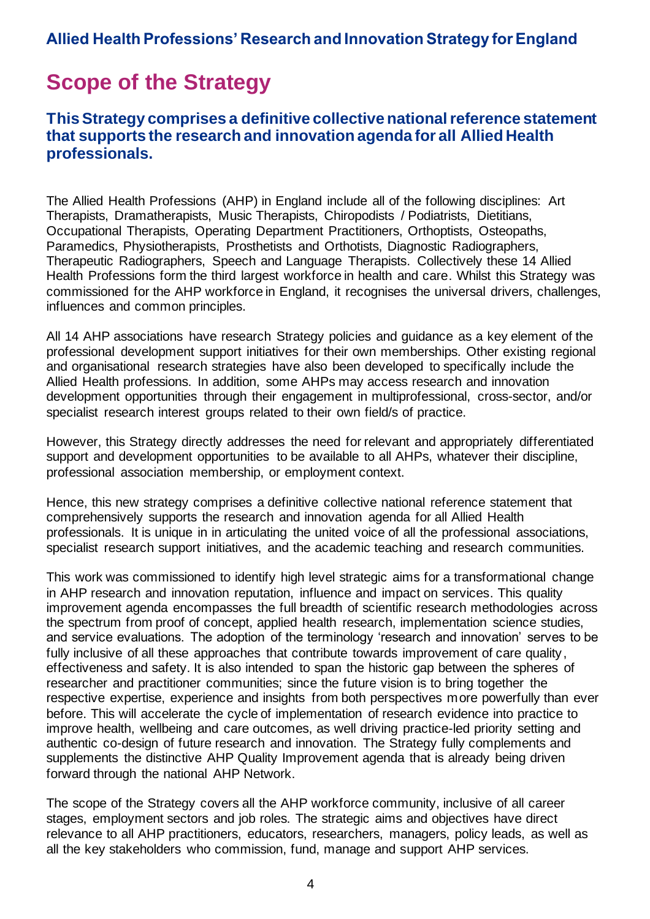# <span id="page-3-0"></span>**Scope of the Strategy**

### **This Strategy comprises a definitive collective national reference statement that supports the research and innovation agenda for all Allied Health professionals.**

The Allied Health Professions (AHP) in England include all of the following disciplines: Art Therapists, Dramatherapists, Music Therapists, Chiropodists / Podiatrists, Dietitians, Occupational Therapists, Operating Department Practitioners, Orthoptists, Osteopaths, Paramedics, Physiotherapists, Prosthetists and Orthotists, Diagnostic Radiographers, Therapeutic Radiographers, Speech and Language Therapists. Collectively these 14 Allied Health Professions form the third largest workforce in health and care. Whilst this Strategy was commissioned for the AHP workforce in England, it recognises the universal drivers, challenges, influences and common principles.

All 14 AHP associations have research Strategy policies and guidance as a key element of the professional development support initiatives for their own memberships. Other existing regional and organisational research strategies have also been developed to specifically include the Allied Health professions. In addition, some AHPs may access research and innovation development opportunities through their engagement in multiprofessional, cross-sector, and/or specialist research interest groups related to their own field/s of practice.

However, this Strategy directly addresses the need for relevant and appropriately differentiated support and development opportunities to be available to all AHPs, whatever their discipline, professional association membership, or employment context.

Hence, this new strategy comprises a definitive collective national reference statement that comprehensively supports the research and innovation agenda for all Allied Health professionals. It is unique in in articulating the united voice of all the professional associations, specialist research support initiatives, and the academic teaching and research communities.

This work was commissioned to identify high level strategic aims for a transformational change in AHP research and innovation reputation, influence and impact on services. This quality improvement agenda encompasses the full breadth of scientific research methodologies across the spectrum from proof of concept, applied health research, implementation science studies, and service evaluations. The adoption of the terminology 'research and innovation' serves to be fully inclusive of all these approaches that contribute towards improvement of care quality, effectiveness and safety. It is also intended to span the historic gap between the spheres of researcher and practitioner communities; since the future vision is to bring together the respective expertise, experience and insights from both perspectives more powerfully than ever before. This will accelerate the cycle of implementation of research evidence into practice to improve health, wellbeing and care outcomes, as well driving practice-led priority setting and authentic co-design of future research and innovation. The Strategy fully complements and supplements the distinctive AHP Quality Improvement agenda that is already being driven forward through the national AHP Network.

The scope of the Strategy covers all the AHP workforce community, inclusive of all career stages, employment sectors and job roles. The strategic aims and objectives have direct relevance to all AHP practitioners, educators, researchers, managers, policy leads, as well as all the key stakeholders who commission, fund, manage and support AHP services.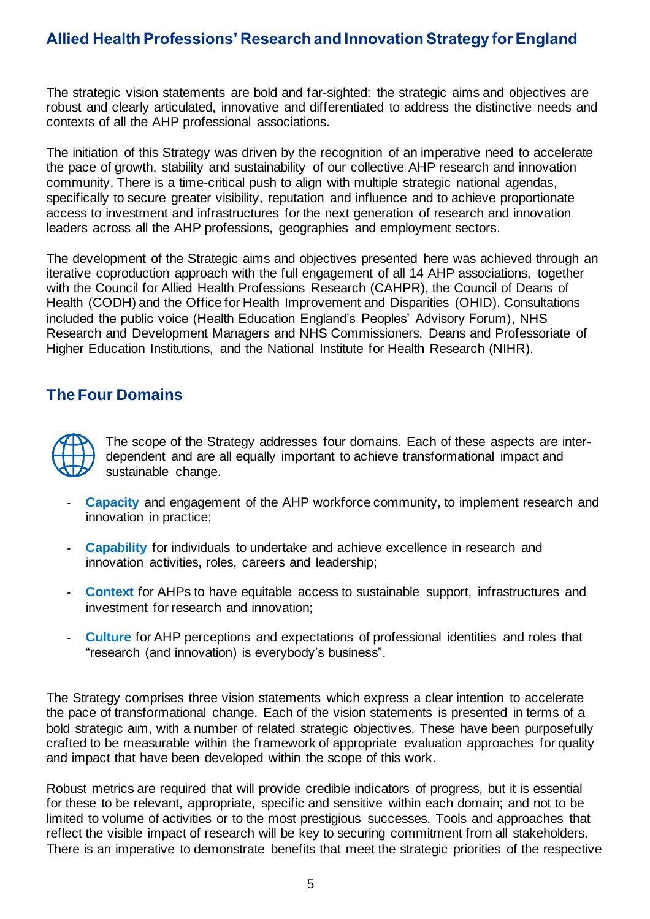The strategic vision statements are bold and far-sighted: the strategic aims and objectives are robust and clearly articulated, innovative and differentiated to address the distinctive needs and contexts of all the AHP professional associations.

The initiation of this Strategy was driven by the recognition of an imperative need to accelerate the pace of growth, stability and sustainability of our collective AHP research and innovation community. There is a time-critical push to align with multiple strategic national agendas, specifically to secure greater visibility, reputation and influence and to achieve proportionate access to investment and infrastructures for the next generation of research and innovation leaders across all the AHP professions, geographies and employment sectors.

The development of the Strategic aims and objectives presented here was achieved through an iterative coproduction approach with the full engagement of all 14 AHP associations, together with the Council for Allied Health Professions Research (CAHPR), the Council of Deans of Health (CODH) and the Office for Health Improvement and Disparities (OHID). Consultations included the public voice (Health Education England's Peoples' Advisory Forum), NHS Research and Development Managers and NHS Commissioners, Deans and Professoriate of Higher Education Institutions, and the National Institute for Health Research (NIHR).

### **The Four Domains**



The scope of the Strategy addresses four domains. Each of these aspects are interdependent and are all equally important to achieve transformational impact and sustainable change.

- **Capacity** and engagement of the AHP workforce community, to implement research and innovation in practice;
- **Capability** for individuals to undertake and achieve excellence in research and innovation activities, roles, careers and leadership;
- **Context** for AHPs to have equitable access to sustainable support, infrastructures and investment for research and innovation;
- **Culture** for AHP perceptions and expectations of professional identities and roles that "research (and innovation) is everybody's business".

The Strategy comprises three vision statements which express a clear intention to accelerate the pace of transformational change. Each of the vision statements is presented in terms of a bold strategic aim, with a number of related strategic objectives. These have been purposefully crafted to be measurable within the framework of appropriate evaluation approaches for quality and impact that have been developed within the scope of this work.

Robust metrics are required that will provide credible indicators of progress, but it is essential for these to be relevant, appropriate, specific and sensitive within each domain; and not to be limited to volume of activities or to the most prestigious successes. Tools and approaches that reflect the visible impact of research will be key to securing commitment from all stakeholders. There is an imperative to demonstrate benefits that meet the strategic priorities of the respective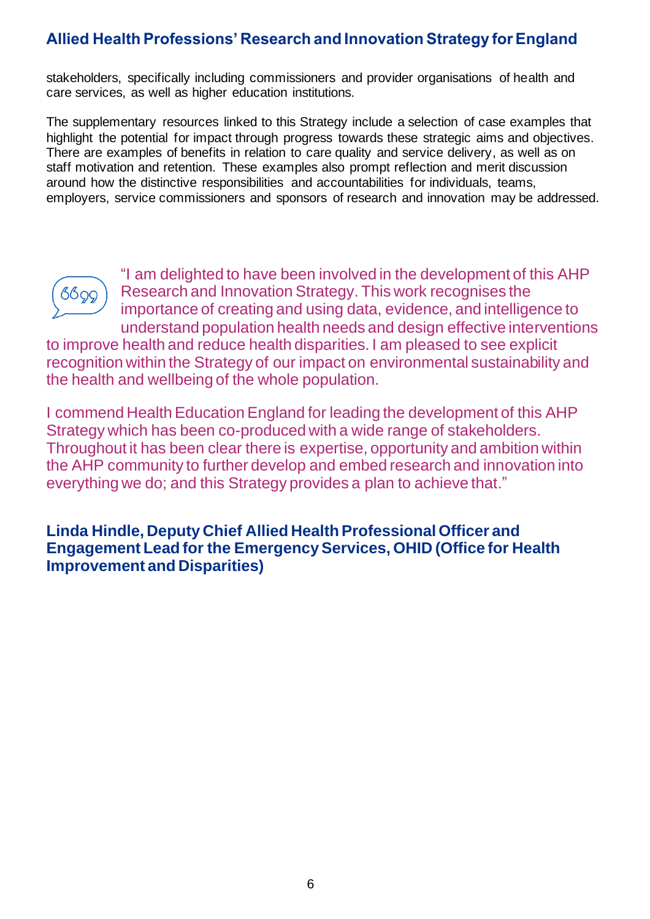stakeholders, specifically including commissioners and provider organisations of health and care services, as well as higher education institutions.

The supplementary resources linked to this Strategy include a selection of case examples that highlight the potential for impact through progress towards these strategic aims and objectives. There are examples of benefits in relation to care quality and service delivery, as well as on staff motivation and retention. These examples also prompt reflection and merit discussion around how the distinctive responsibilities and accountabilities for individuals, teams, employers, service commissioners and sponsors of research and innovation may be addressed.



"I am delighted to have been involved in the development of this AHP Research and Innovation Strategy. This work recognises the importance of creating and using data, evidence, and intelligence to understand population health needs and design effective interventions

to improve health and reduce health disparities. I am pleased to see explicit recognition within the Strategy of our impact on environmental sustainability and the health and wellbeing of the whole population.

I commend Health Education England for leading the development of this AHP Strategy which has been co-produced with a wide range of stakeholders. Throughout it has been clear there is expertise, opportunity and ambition within the AHP community to further develop and embed research and innovation into everything we do; and this Strategy provides a plan to achieve that."

**Linda Hindle, Deputy Chief Allied Health Professional Officer and Engagement Lead for the Emergency Services, OHID (Office for Health Improvement and Disparities)**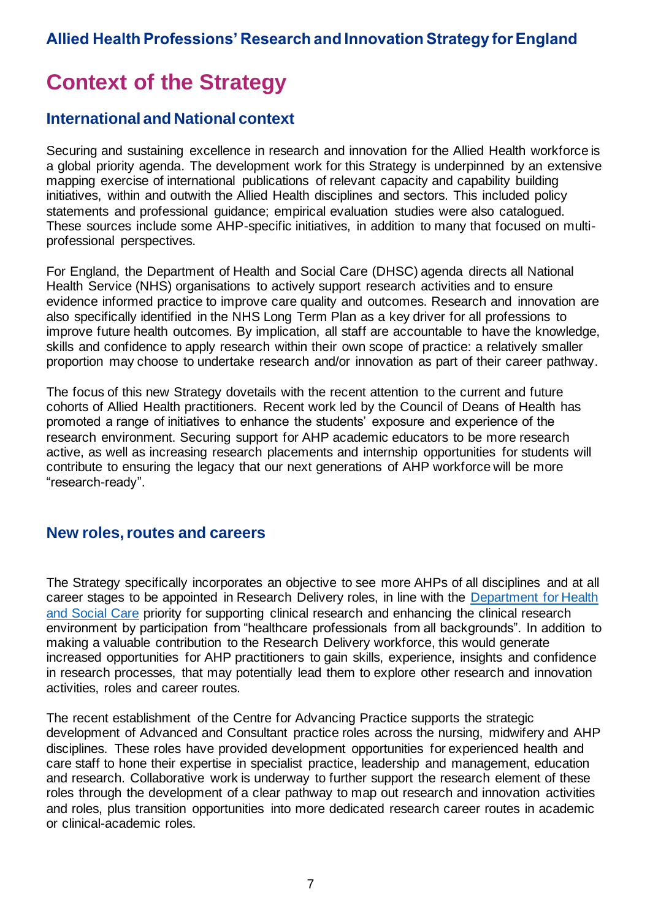# <span id="page-6-0"></span>**Context of the Strategy**

### **International and National context**

Securing and sustaining excellence in research and innovation for the Allied Health workforce is a global priority agenda. The development work for this Strategy is underpinned by an extensive mapping exercise of international publications of relevant capacity and capability building initiatives, within and outwith the Allied Health disciplines and sectors. This included policy statements and professional guidance; empirical evaluation studies were also catalogued. These sources include some AHP-specific initiatives, in addition to many that focused on multiprofessional perspectives.

For England, the Department of Health and Social Care (DHSC) agenda directs all National Health Service (NHS) organisations to actively support research activities and to ensure evidence informed practice to improve care quality and outcomes. Research and innovation are also specifically identified in the NHS Long Term Plan as a key driver for all professions to improve future health outcomes. By implication, all staff are accountable to have the knowledge, skills and confidence to apply research within their own scope of practice: a relatively smaller proportion may choose to undertake research and/or innovation as part of their career pathway.

The focus of this new Strategy dovetails with the recent attention to the current and future cohorts of Allied Health practitioners. Recent work led by the Council of Deans of Health has promoted a range of initiatives to enhance the students' exposure and experience of the research environment. Securing support for AHP academic educators to be more research active, as well as increasing research placements and internship opportunities for students will contribute to ensuring the legacy that our next generations of AHP workforce will be more "research-ready".

### **New roles, routes and careers**

The Strategy specifically incorporates an objective to see more AHPs of all disciplines and at all career stages to be appointed in Research Delivery roles, in line with the [Department for Health](https://www.gov.uk/government/publications/the-future-of-uk-clinical-research-delivery/executive-summary)  [and Social Care](https://www.gov.uk/government/publications/the-future-of-uk-clinical-research-delivery/executive-summary) priority for supporting clinical research and enhancing the clinical research environment by participation from "healthcare professionals from all backgrounds". In addition to making a valuable contribution to the Research Delivery workforce, this would generate increased opportunities for AHP practitioners to gain skills, experience, insights and confidence in research processes, that may potentially lead them to explore other research and innovation activities, roles and career routes.

The recent establishment of the Centre for Advancing Practice supports the strategic development of Advanced and Consultant practice roles across the nursing, midwifery and AHP disciplines. These roles have provided development opportunities for experienced health and care staff to hone their expertise in specialist practice, leadership and management, education and research. Collaborative work is underway to further support the research element of these roles through the development of a clear pathway to map out research and innovation activities and roles, plus transition opportunities into more dedicated research career routes in academic or clinical-academic roles.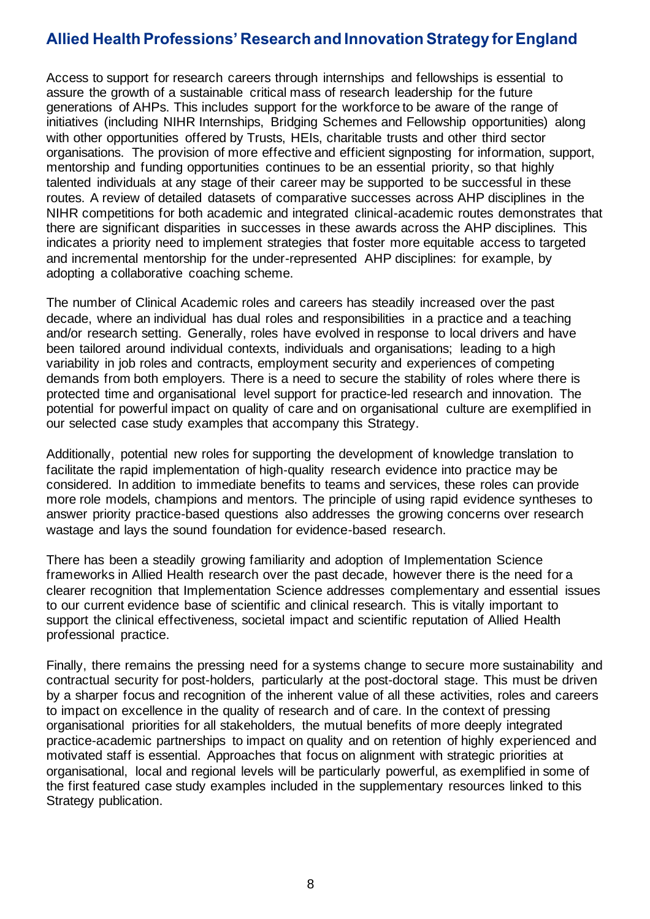Access to support for research careers through internships and fellowships is essential to assure the growth of a sustainable critical mass of research leadership for the future generations of AHPs. This includes support for the workforce to be aware of the range of initiatives (including NIHR Internships, Bridging Schemes and Fellowship opportunities) along with other opportunities offered by Trusts, HEIs, charitable trusts and other third sector organisations. The provision of more effective and efficient signposting for information, support, mentorship and funding opportunities continues to be an essential priority, so that highly talented individuals at any stage of their career may be supported to be successful in these routes. A review of detailed datasets of comparative successes across AHP disciplines in the NIHR competitions for both academic and integrated clinical-academic routes demonstrates that there are significant disparities in successes in these awards across the AHP disciplines. This indicates a priority need to implement strategies that foster more equitable access to targeted and incremental mentorship for the under-represented AHP disciplines: for example, by adopting a collaborative coaching scheme.

The number of Clinical Academic roles and careers has steadily increased over the past decade, where an individual has dual roles and responsibilities in a practice and a teaching and/or research setting. Generally, roles have evolved in response to local drivers and have been tailored around individual contexts, individuals and organisations; leading to a high variability in job roles and contracts, employment security and experiences of competing demands from both employers. There is a need to secure the stability of roles where there is protected time and organisational level support for practice-led research and innovation. The potential for powerful impact on quality of care and on organisational culture are exemplified in our selected case study examples that accompany this Strategy.

Additionally, potential new roles for supporting the development of knowledge translation to facilitate the rapid implementation of high‐quality research evidence into practice may be considered. In addition to immediate benefits to teams and services, these roles can provide more role models, champions and mentors. The principle of using rapid evidence syntheses to answer priority practice-based questions also addresses the growing concerns over research wastage and lays the sound foundation for evidence-based research.

There has been a steadily growing familiarity and adoption of Implementation Science frameworks in Allied Health research over the past decade, however there is the need for a clearer recognition that Implementation Science addresses complementary and essential issues to our current evidence base of scientific and clinical research. This is vitally important to support the clinical effectiveness, societal impact and scientific reputation of Allied Health professional practice.

Finally, there remains the pressing need for a systems change to secure more sustainability and contractual security for post-holders, particularly at the post-doctoral stage. This must be driven by a sharper focus and recognition of the inherent value of all these activities, roles and careers to impact on excellence in the quality of research and of care. In the context of pressing organisational priorities for all stakeholders, the mutual benefits of more deeply integrated practice-academic partnerships to impact on quality and on retention of highly experienced and motivated staff is essential. Approaches that focus on alignment with strategic priorities at organisational, local and regional levels will be particularly powerful, as exemplified in some of the first featured case study examples included in the supplementary resources linked to this Strategy publication.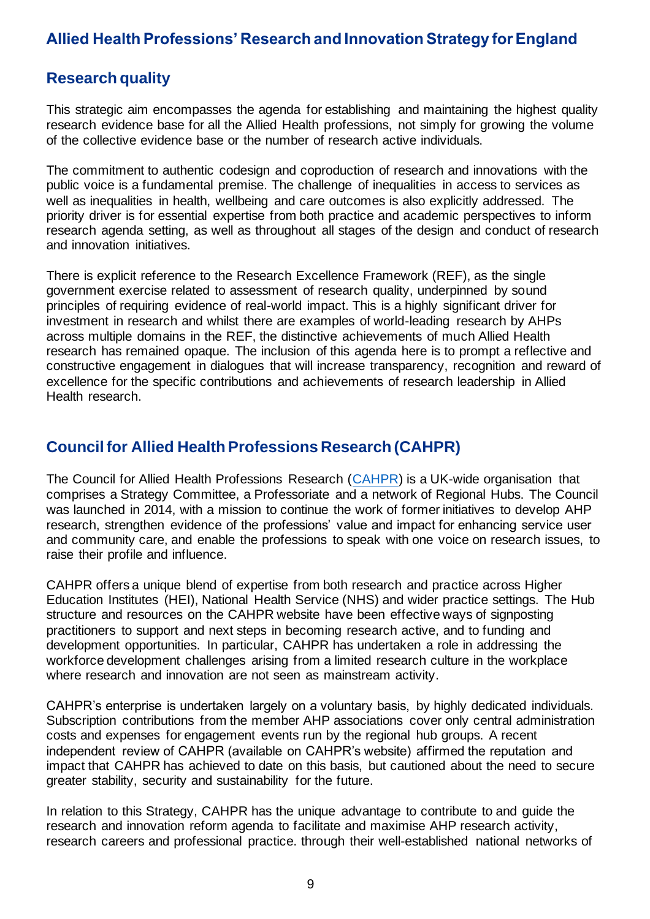### **Research quality**

This strategic aim encompasses the agenda for establishing and maintaining the highest quality research evidence base for all the Allied Health professions, not simply for growing the volume of the collective evidence base or the number of research active individuals.

The commitment to authentic codesign and coproduction of research and innovations with the public voice is a fundamental premise. The challenge of inequalities in access to services as well as inequalities in health, wellbeing and care outcomes is also explicitly addressed. The priority driver is for essential expertise from both practice and academic perspectives to inform research agenda setting, as well as throughout all stages of the design and conduct of research and innovation initiatives.

There is explicit reference to the Research Excellence Framework (REF), as the single government exercise related to assessment of research quality, underpinned by sound principles of requiring evidence of real-world impact. This is a highly significant driver for investment in research and whilst there are examples of world-leading research by AHPs across multiple domains in the REF, the distinctive achievements of much Allied Health research has remained opaque. The inclusion of this agenda here is to prompt a reflective and constructive engagement in dialogues that will increase transparency, recognition and reward of excellence for the specific contributions and achievements of research leadership in Allied Health research.

### **Council for Allied Health Professions Research (CAHPR)**

The Council for Allied Health Professions Research [\(CAHPR\)](https://cahpr.csp.org.uk/) is a UK-wide organisation that comprises a Strategy Committee, a Professoriate and a network of Regional Hubs. The Council was launched in 2014, with a mission to continue the work of former initiatives to develop AHP research, strengthen evidence of the professions' value and impact for enhancing service user and community care, and enable the professions to speak with one voice on research issues, to raise their profile and influence.

CAHPR offers a unique blend of expertise from both research and practice across Higher Education Institutes (HEI), National Health Service (NHS) and wider practice settings. The Hub structure and resources on the CAHPR website have been effective ways of signposting practitioners to support and next steps in becoming research active, and to funding and development opportunities. In particular, CAHPR has undertaken a role in addressing the workforce development challenges arising from a limited research culture in the workplace where research and innovation are not seen as mainstream activity.

CAHPR's enterprise is undertaken largely on a voluntary basis, by highly dedicated individuals. Subscription contributions from the member AHP associations cover only central administration costs and expenses for engagement events run by the regional hub groups. A recent independent review of CAHPR (available on CAHPR's website) affirmed the reputation and impact that CAHPR has achieved to date on this basis, but cautioned about the need to secure greater stability, security and sustainability for the future.

In relation to this Strategy, CAHPR has the unique advantage to contribute to and guide the research and innovation reform agenda to facilitate and maximise AHP research activity, research careers and professional practice. through their well-established national networks of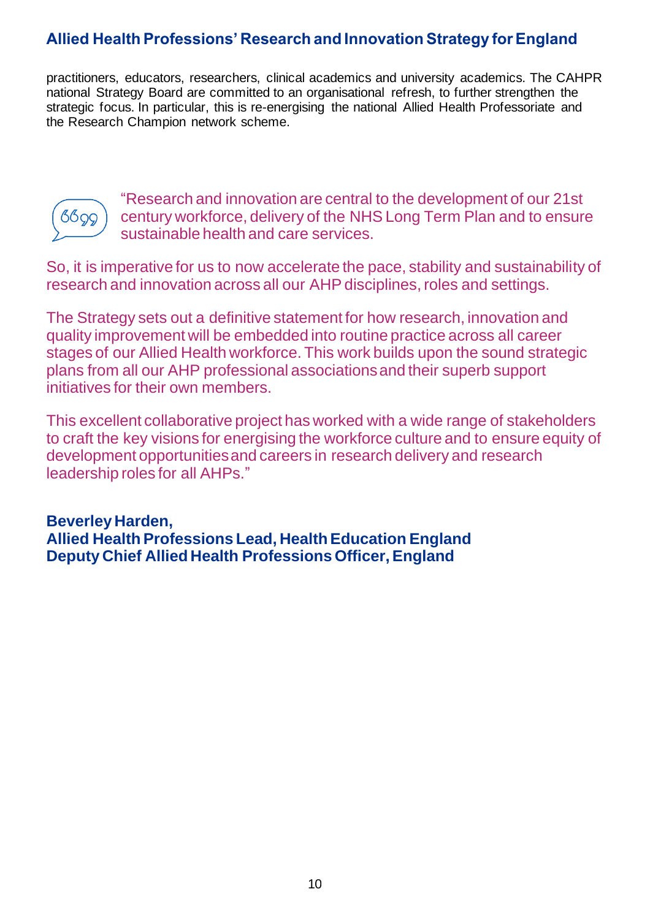practitioners, educators, researchers, clinical academics and university academics. The CAHPR national Strategy Board are committed to an organisational refresh, to further strengthen the strategic focus. In particular, this is re-energising the national Allied Health Professoriate and the Research Champion network scheme.



"Research and innovation are central to the development of our 21st century workforce, delivery of the NHS Long Term Plan and to ensure sustainable health and care services.

So, it is imperative for us to now accelerate the pace, stability and sustainability of research and innovation across all our AHP disciplines, roles and settings.

The Strategy sets out a definitive statement for how research, innovation and quality improvement will be embedded into routine practice across all career stages of our Allied Health workforce. This work builds upon the sound strategic plans from all our AHP professional associations and their superb support initiatives for their own members.

This excellent collaborative project has worked with a wide range of stakeholders to craft the key visions for energising the workforce culture and to ensure equity of development opportunities and careers in research delivery and research leadership roles for all AHPs."

**Beverley Harden, Allied Health Professions Lead, Health Education England Deputy Chief Allied Health Professions Officer, England**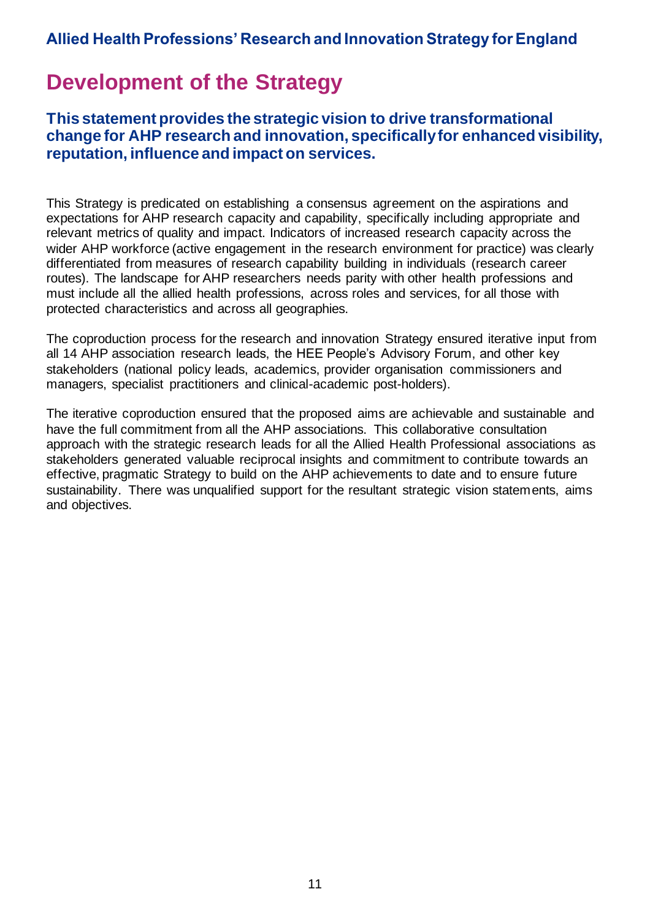# <span id="page-10-0"></span>**Development of the Strategy**

**This statement provides the strategic vision to drive transformational change for AHP research and innovation, specifically for enhanced visibility, reputation, influence and impact on services.** 

This Strategy is predicated on establishing a consensus agreement on the aspirations and expectations for AHP research capacity and capability, specifically including appropriate and relevant metrics of quality and impact. Indicators of increased research capacity across the wider AHP workforce (active engagement in the research environment for practice) was clearly differentiated from measures of research capability building in individuals (research career routes). The landscape for AHP researchers needs parity with other health professions and must include all the allied health professions, across roles and services, for all those with protected characteristics and across all geographies.

The coproduction process for the research and innovation Strategy ensured iterative input from all 14 AHP association research leads, the HEE People's Advisory Forum, and other key stakeholders (national policy leads, academics, provider organisation commissioners and managers, specialist practitioners and clinical-academic post-holders).

The iterative coproduction ensured that the proposed aims are achievable and sustainable and have the full commitment from all the AHP associations. This collaborative consultation approach with the strategic research leads for all the Allied Health Professional associations as stakeholders generated valuable reciprocal insights and commitment to contribute towards an effective, pragmatic Strategy to build on the AHP achievements to date and to ensure future sustainability. There was unqualified support for the resultant strategic vision statements, aims and objectives.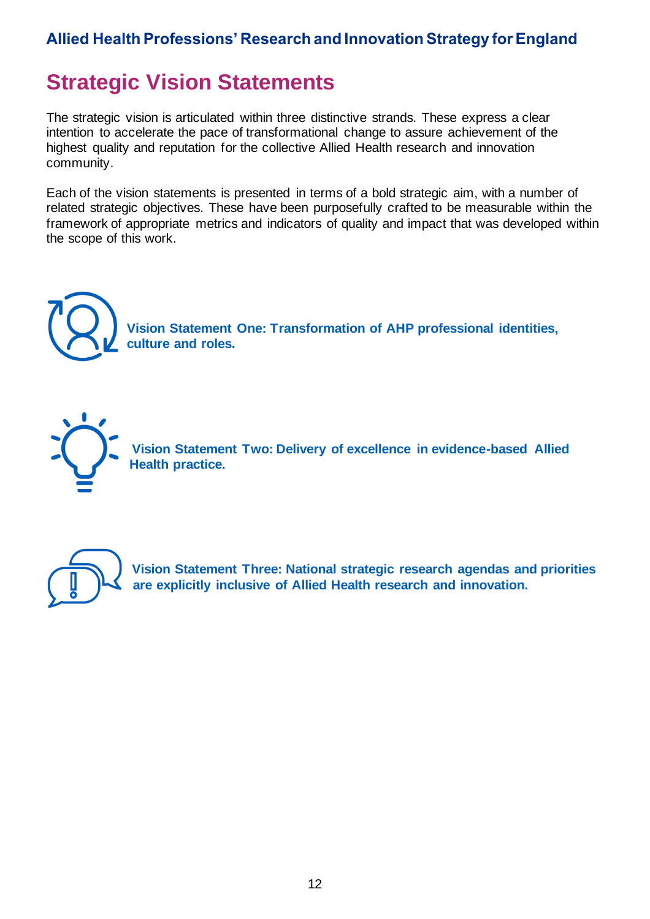# <span id="page-11-0"></span>**Strategic Vision Statements**

The strategic vision is articulated within three distinctive strands. These express a clear intention to accelerate the pace of transformational change to assure achievement of the highest quality and reputation for the collective Allied Health research and innovation community.

Each of the vision statements is presented in terms of a bold strategic aim, with a number of related strategic objectives. These have been purposefully crafted to be measurable within the framework of appropriate metrics and indicators of quality and impact that was developed within the scope of this work.



**Vision Statement One: Transformation of AHP professional identities, culture and roles.**



**Vision Statement Two: Delivery of excellence in evidence-based Allied Health practice.**



**Vision Statement Three: National strategic research agendas and priorities are explicitly inclusive of Allied Health research and innovation.**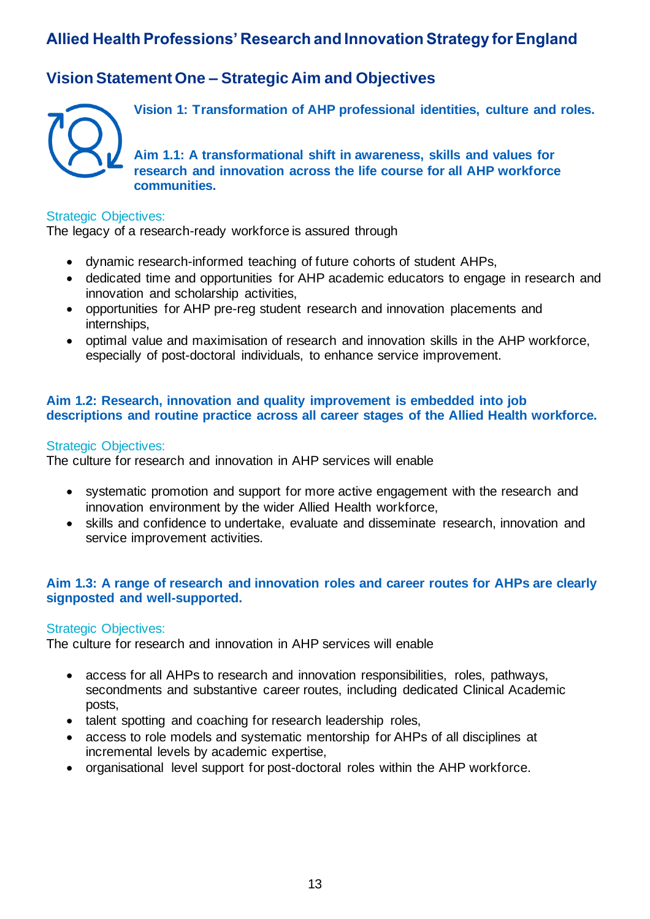## <span id="page-12-0"></span>**Vision Statement One – Strategic Aim and Objectives**



**Vision 1: Transformation of AHP professional identities, culture and roles.**

**Aim 1.1: A transformational shift in awareness, skills and values for research and innovation across the life course for all AHP workforce communities.**

#### Strategic Objectives:

The legacy of a research-ready workforce is assured through

- dynamic research-informed teaching of future cohorts of student AHPs,
- dedicated time and opportunities for AHP academic educators to engage in research and innovation and scholarship activities,
- opportunities for AHP pre-reg student research and innovation placements and internships,
- optimal value and maximisation of research and innovation skills in the AHP workforce, especially of post-doctoral individuals, to enhance service improvement.

#### **Aim 1.2: Research, innovation and quality improvement is embedded into job descriptions and routine practice across all career stages of the Allied Health workforce.**

#### Strategic Objectives:

The culture for research and innovation in AHP services will enable

- systematic promotion and support for more active engagement with the research and innovation environment by the wider Allied Health workforce,
- skills and confidence to undertake, evaluate and disseminate research, innovation and service improvement activities.

#### **Aim 1.3: A range of research and innovation roles and career routes for AHPs are clearly signposted and well-supported.**

#### Strategic Objectives:

The culture for research and innovation in AHP services will enable

- access for all AHPs to research and innovation responsibilities, roles, pathways, secondments and substantive career routes, including dedicated Clinical Academic posts,
- talent spotting and coaching for research leadership roles,
- access to role models and systematic mentorship for AHPs of all disciplines at incremental levels by academic expertise,
- organisational level support for post-doctoral roles within the AHP workforce.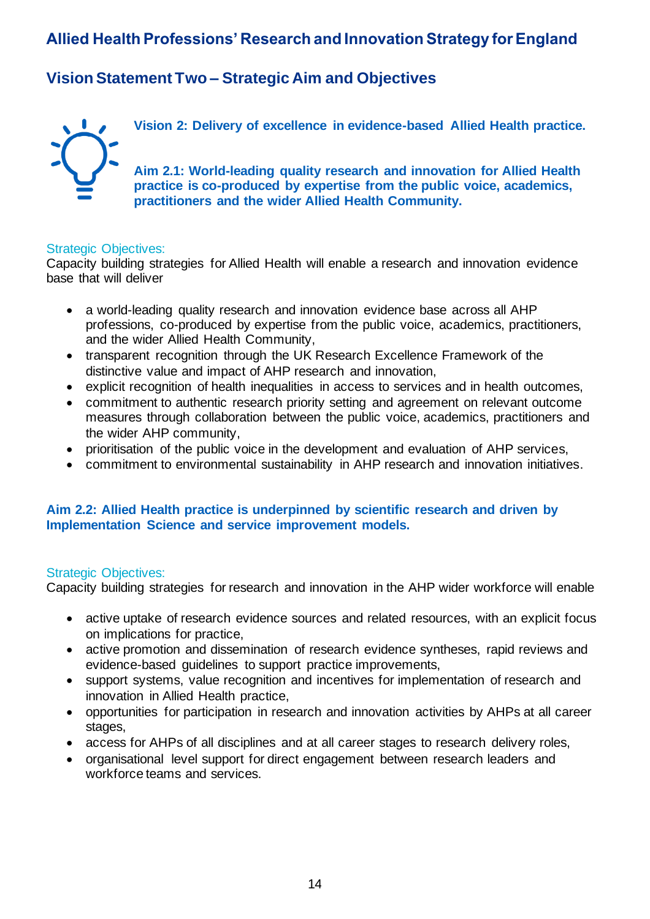## <span id="page-13-0"></span>**Vision Statement Two – Strategic Aim and Objectives**



**Vision 2: Delivery of excellence in evidence-based Allied Health practice.**

**Aim 2.1: World-leading quality research and innovation for Allied Health practice is co-produced by expertise from the public voice, academics, practitioners and the wider Allied Health Community.**

#### Strategic Objectives:

Capacity building strategies for Allied Health will enable a research and innovation evidence base that will deliver

- a world-leading quality research and innovation evidence base across all AHP professions, co-produced by expertise from the public voice, academics, practitioners, and the wider Allied Health Community,
- transparent recognition through the UK Research Excellence Framework of the distinctive value and impact of AHP research and innovation,
- explicit recognition of health inequalities in access to services and in health outcomes,
- commitment to authentic research priority setting and agreement on relevant outcome measures through collaboration between the public voice, academics, practitioners and the wider AHP community,
- prioritisation of the public voice in the development and evaluation of AHP services,
- commitment to environmental sustainability in AHP research and innovation initiatives.

#### **Aim 2.2: Allied Health practice is underpinned by scientific research and driven by Implementation Science and service improvement models.**

#### Strategic Objectives:

Capacity building strategies for research and innovation in the AHP wider workforce will enable

- active uptake of research evidence sources and related resources, with an explicit focus on implications for practice,
- active promotion and dissemination of research evidence syntheses, rapid reviews and evidence-based guidelines to support practice improvements,
- support systems, value recognition and incentives for implementation of research and innovation in Allied Health practice,
- opportunities for participation in research and innovation activities by AHPs at all career stages,
- access for AHPs of all disciplines and at all career stages to research delivery roles,
- organisational level support for direct engagement between research leaders and workforce teams and services.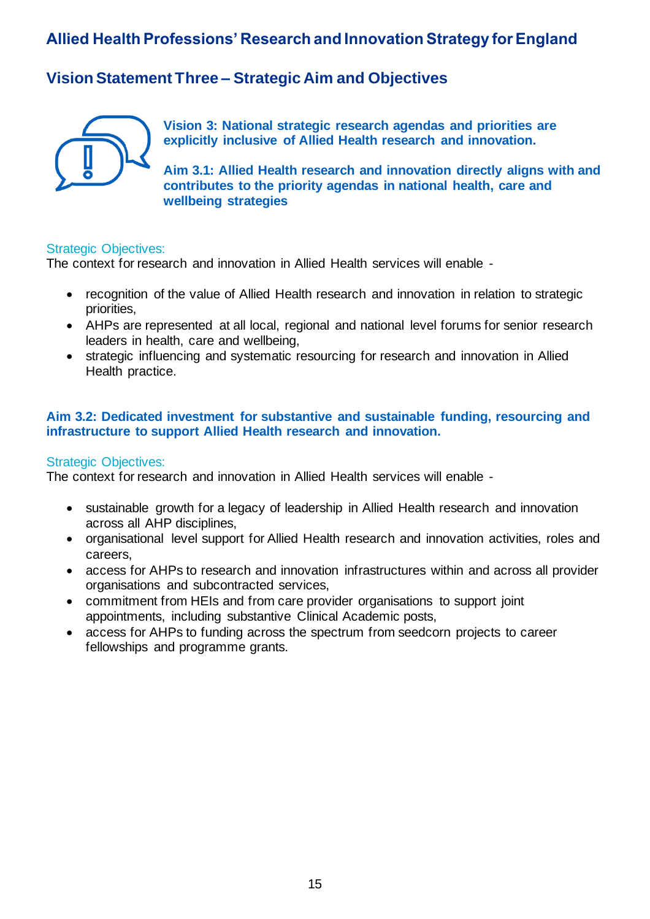## <span id="page-14-0"></span>**Vision Statement Three – Strategic Aim and Objectives**



**Vision 3: National strategic research agendas and priorities are explicitly inclusive of Allied Health research and innovation.**

**Aim 3.1: Allied Health research and innovation directly aligns with and contributes to the priority agendas in national health, care and wellbeing strategies**

#### Strategic Objectives:

The context for research and innovation in Allied Health services will enable -

- recognition of the value of Allied Health research and innovation in relation to strategic priorities,
- AHPs are represented at all local, regional and national level forums for senior research leaders in health, care and wellbeing,
- strategic influencing and systematic resourcing for research and innovation in Allied Health practice.

#### **Aim 3.2: Dedicated investment for substantive and sustainable funding, resourcing and infrastructure to support Allied Health research and innovation.**

#### Strategic Objectives:

The context for research and innovation in Allied Health services will enable -

- sustainable growth for a legacy of leadership in Allied Health research and innovation across all AHP disciplines,
- organisational level support for Allied Health research and innovation activities, roles and careers,
- access for AHPs to research and innovation infrastructures within and across all provider organisations and subcontracted services,
- commitment from HEIs and from care provider organisations to support joint appointments, including substantive Clinical Academic posts,
- access for AHPs to funding across the spectrum from seedcorn projects to career fellowships and programme grants.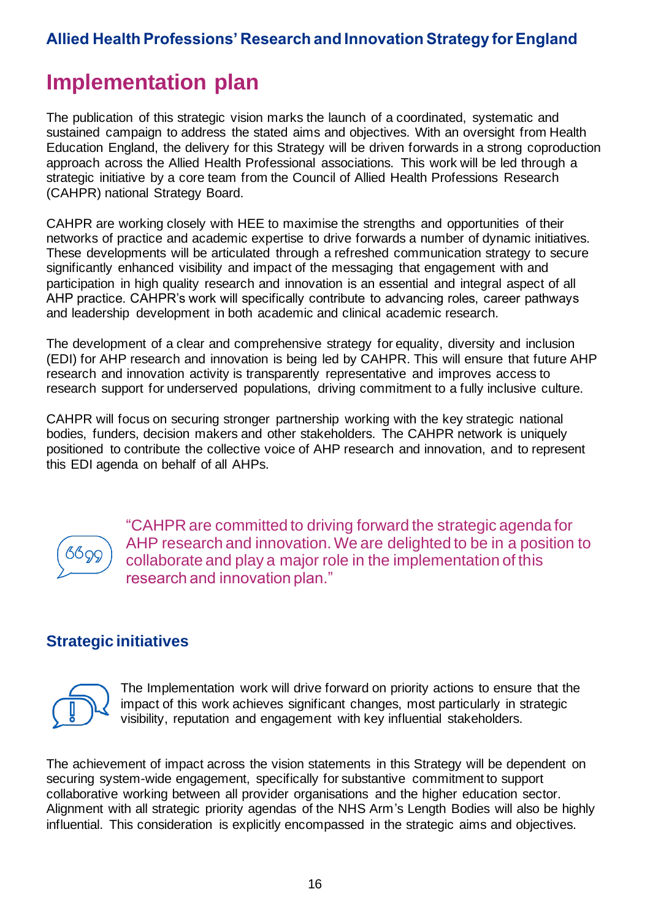# <span id="page-15-0"></span>**Implementation plan**

The publication of this strategic vision marks the launch of a coordinated, systematic and sustained campaign to address the stated aims and objectives. With an oversight from Health Education England, the delivery for this Strategy will be driven forwards in a strong coproduction approach across the Allied Health Professional associations. This work will be led through a strategic initiative by a core team from the Council of Allied Health Professions Research (CAHPR) national Strategy Board.

CAHPR are working closely with HEE to maximise the strengths and opportunities of their networks of practice and academic expertise to drive forwards a number of dynamic initiatives. These developments will be articulated through a refreshed communication strategy to secure significantly enhanced visibility and impact of the messaging that engagement with and participation in high quality research and innovation is an essential and integral aspect of all AHP practice. CAHPR's work will specifically contribute to advancing roles, career pathways and leadership development in both academic and clinical academic research.

The development of a clear and comprehensive strategy for equality, diversity and inclusion (EDI) for AHP research and innovation is being led by CAHPR. This will ensure that future AHP research and innovation activity is transparently representative and improves access to research support for underserved populations, driving commitment to a fully inclusive culture.

CAHPR will focus on securing stronger partnership working with the key strategic national bodies, funders, decision makers and other stakeholders. The CAHPR network is uniquely positioned to contribute the collective voice of AHP research and innovation, and to represent this EDI agenda on behalf of all AHPs.

| L.<br>u |
|---------|
|         |
|         |

"CAHPR are committed to driving forward the strategic agenda for AHP research and innovation. We are delighted to be in a position to collaborate and play a major role in the implementation of this research and innovation plan."

## **Strategic initiatives**



The Implementation work will drive forward on priority actions to ensure that the impact of this work achieves significant changes, most particularly in strategic visibility, reputation and engagement with key influential stakeholders.

The achievement of impact across the vision statements in this Strategy will be dependent on securing system-wide engagement, specifically for substantive commitment to support collaborative working between all provider organisations and the higher education sector. Alignment with all strategic priority agendas of the NHS Arm's Length Bodies will also be highly influential. This consideration is explicitly encompassed in the strategic aims and objectives.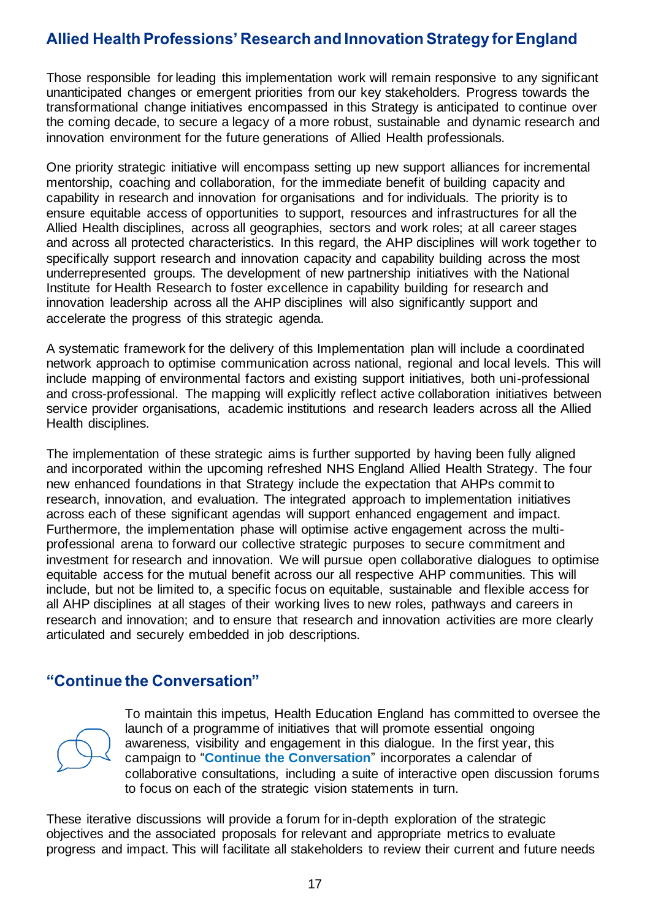Those responsible for leading this implementation work will remain responsive to any significant unanticipated changes or emergent priorities from our key stakeholders. Progress towards the transformational change initiatives encompassed in this Strategy is anticipated to continue over the coming decade, to secure a legacy of a more robust, sustainable and dynamic research and innovation environment for the future generations of Allied Health professionals.

One priority strategic initiative will encompass setting up new support alliances for incremental mentorship, coaching and collaboration, for the immediate benefit of building capacity and capability in research and innovation for organisations and for individuals. The priority is to ensure equitable access of opportunities to support, resources and infrastructures for all the Allied Health disciplines, across all geographies, sectors and work roles; at all career stages and across all protected characteristics. In this regard, the AHP disciplines will work together to specifically support research and innovation capacity and capability building across the most underrepresented groups. The development of new partnership initiatives with the National Institute for Health Research to foster excellence in capability building for research and innovation leadership across all the AHP disciplines will also significantly support and accelerate the progress of this strategic agenda.

A systematic framework for the delivery of this Implementation plan will include a coordinated network approach to optimise communication across national, regional and local levels. This will include mapping of environmental factors and existing support initiatives, both uni-professional and cross-professional. The mapping will explicitly reflect active collaboration initiatives between service provider organisations, academic institutions and research leaders across all the Allied Health disciplines.

The implementation of these strategic aims is further supported by having been fully aligned and incorporated within the upcoming refreshed NHS England Allied Health Strategy. The four new enhanced foundations in that Strategy include the expectation that AHPs commit to research, innovation, and evaluation. The integrated approach to implementation initiatives across each of these significant agendas will support enhanced engagement and impact. Furthermore, the implementation phase will optimise active engagement across the multiprofessional arena to forward our collective strategic purposes to secure commitment and investment for research and innovation. We will pursue open collaborative dialogues to optimise equitable access for the mutual benefit across our all respective AHP communities. This will include, but not be limited to, a specific focus on equitable, sustainable and flexible access for all AHP disciplines at all stages of their working lives to new roles, pathways and careers in research and innovation; and to ensure that research and innovation activities are more clearly articulated and securely embedded in job descriptions.

## **"Continue the Conversation"**



To maintain this impetus, Health Education England has committed to oversee the launch of a programme of initiatives that will promote essential ongoing awareness, visibility and engagement in this dialogue. In the first year, this campaign to "**Continue the Conversation**" incorporates a calendar of collaborative consultations, including a suite of interactive open discussion forums to focus on each of the strategic vision statements in turn.

These iterative discussions will provide a forum for in-depth exploration of the strategic objectives and the associated proposals for relevant and appropriate metrics to evaluate progress and impact. This will facilitate all stakeholders to review their current and future needs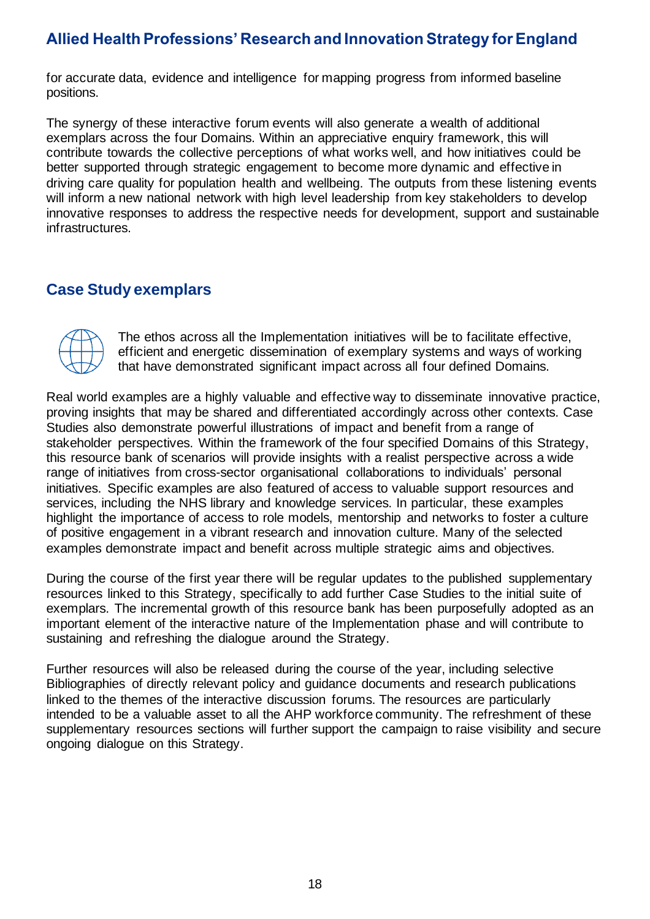for accurate data, evidence and intelligence for mapping progress from informed baseline positions.

The synergy of these interactive forum events will also generate a wealth of additional exemplars across the four Domains. Within an appreciative enquiry framework, this will contribute towards the collective perceptions of what works well, and how initiatives could be better supported through strategic engagement to become more dynamic and effective in driving care quality for population health and wellbeing. The outputs from these listening events will inform a new national network with high level leadership from key stakeholders to develop innovative responses to address the respective needs for development, support and sustainable infrastructures.

### **Case Study exemplars**

The ethos across all the Implementation initiatives will be to facilitate effective, efficient and energetic dissemination of exemplary systems and ways of working that have demonstrated significant impact across all four defined Domains.

Real world examples are a highly valuable and effective way to disseminate innovative practice, proving insights that may be shared and differentiated accordingly across other contexts. Case Studies also demonstrate powerful illustrations of impact and benefit from a range of stakeholder perspectives. Within the framework of the four specified Domains of this Strategy, this resource bank of scenarios will provide insights with a realist perspective across a wide range of initiatives from cross-sector organisational collaborations to individuals' personal initiatives. Specific examples are also featured of access to valuable support resources and services, including the NHS library and knowledge services. In particular, these examples highlight the importance of access to role models, mentorship and networks to foster a culture of positive engagement in a vibrant research and innovation culture. Many of the selected examples demonstrate impact and benefit across multiple strategic aims and objectives.

During the course of the first year there will be regular updates to the published supplementary resources linked to this Strategy, specifically to add further Case Studies to the initial suite of exemplars. The incremental growth of this resource bank has been purposefully adopted as an important element of the interactive nature of the Implementation phase and will contribute to sustaining and refreshing the dialogue around the Strategy.

Further resources will also be released during the course of the year, including selective Bibliographies of directly relevant policy and guidance documents and research publications linked to the themes of the interactive discussion forums. The resources are particularly intended to be a valuable asset to all the AHP workforce community. The refreshment of these supplementary resources sections will further support the campaign to raise visibility and secure ongoing dialogue on this Strategy.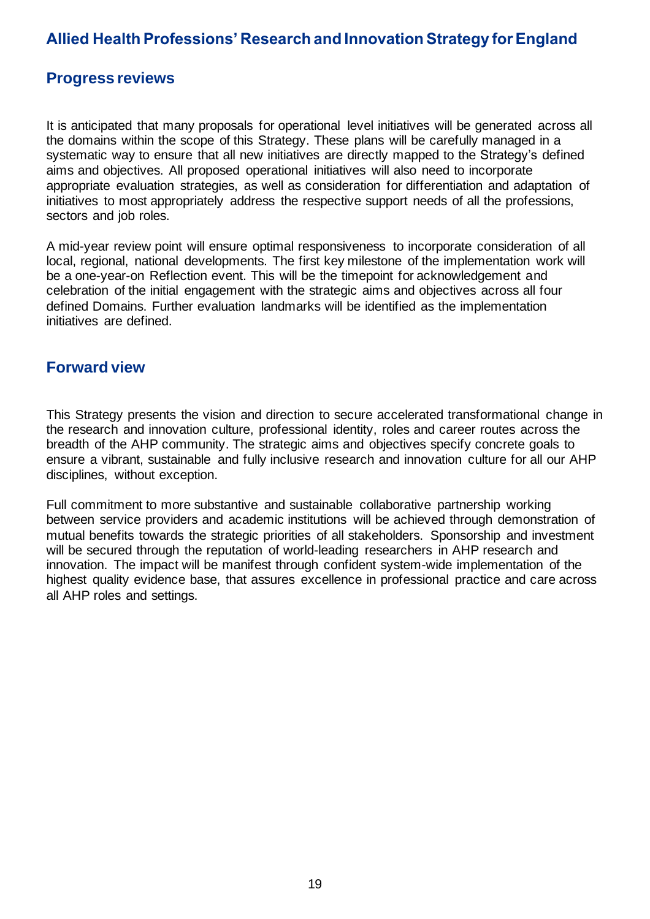### **Progress reviews**

It is anticipated that many proposals for operational level initiatives will be generated across all the domains within the scope of this Strategy. These plans will be carefully managed in a systematic way to ensure that all new initiatives are directly mapped to the Strategy's defined aims and objectives. All proposed operational initiatives will also need to incorporate appropriate evaluation strategies, as well as consideration for differentiation and adaptation of initiatives to most appropriately address the respective support needs of all the professions, sectors and job roles.

A mid-year review point will ensure optimal responsiveness to incorporate consideration of all local, regional, national developments. The first key milestone of the implementation work will be a one-year-on Reflection event. This will be the timepoint for acknowledgement and celebration of the initial engagement with the strategic aims and objectives across all four defined Domains. Further evaluation landmarks will be identified as the implementation initiatives are defined.

### **Forward view**

This Strategy presents the vision and direction to secure accelerated transformational change in the research and innovation culture, professional identity, roles and career routes across the breadth of the AHP community. The strategic aims and objectives specify concrete goals to ensure a vibrant, sustainable and fully inclusive research and innovation culture for all our AHP disciplines, without exception.

Full commitment to more substantive and sustainable collaborative partnership working between service providers and academic institutions will be achieved through demonstration of mutual benefits towards the strategic priorities of all stakeholders. Sponsorship and investment will be secured through the reputation of world-leading researchers in AHP research and innovation. The impact will be manifest through confident system-wide implementation of the highest quality evidence base, that assures excellence in professional practice and care across all AHP roles and settings.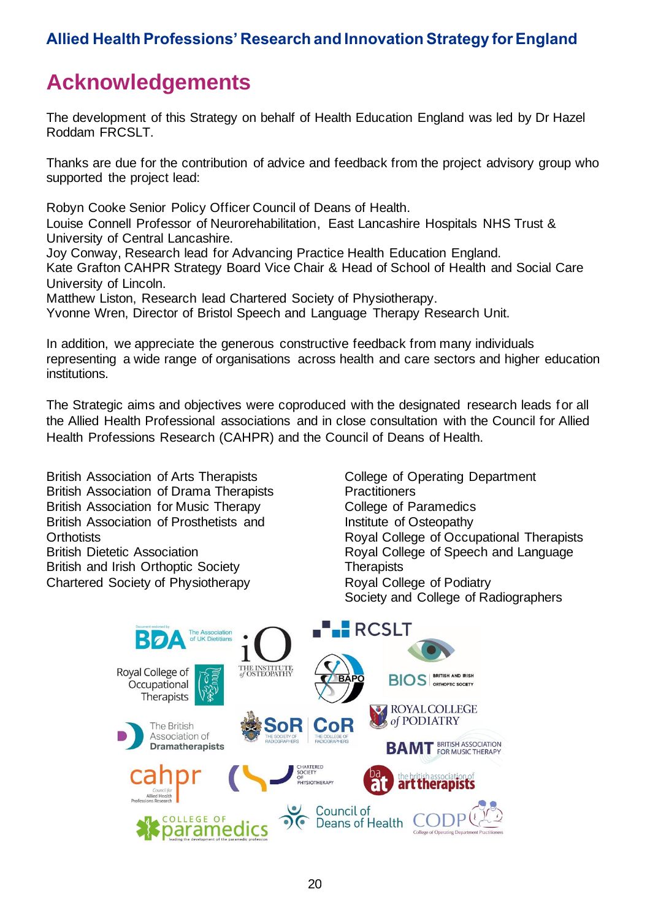# <span id="page-19-0"></span>**Acknowledgements**

The development of this Strategy on behalf of Health Education England was led by Dr Hazel Roddam FRCSLT.

Thanks are due for the contribution of advice and feedback from the project advisory group who supported the project lead:

Robyn Cooke Senior Policy Officer Council of Deans of Health.

Louise Connell Professor of Neurorehabilitation, East Lancashire Hospitals NHS Trust & University of Central Lancashire.

Joy Conway, Research lead for Advancing Practice Health Education England.

Kate Grafton CAHPR Strategy Board Vice Chair & Head of School of Health and Social Care University of Lincoln.

Matthew Liston, Research lead Chartered Society of Physiotherapy.

Yvonne Wren, Director of Bristol Speech and Language Therapy Research Unit.

In addition, we appreciate the generous constructive feedback from many individuals representing a wide range of organisations across health and care sectors and higher education institutions.

The Strategic aims and objectives were coproduced with the designated research leads for all the Allied Health Professional associations and in close consultation with the Council for Allied Health Professions Research (CAHPR) and the Council of Deans of Health.

British Association of Arts Therapists British Association of Drama Therapists British Association for Music Therapy British Association of Prosthetists and **Orthotists** British Dietetic Association British and Irish Orthoptic Society Chartered Society of Physiotherapy

College of Operating Department **Practitioners** College of Paramedics Institute of Osteopathy Royal College of Occupational Therapists Royal College of Speech and Language **Therapists** Royal College of Podiatry Society and College of Radiographers